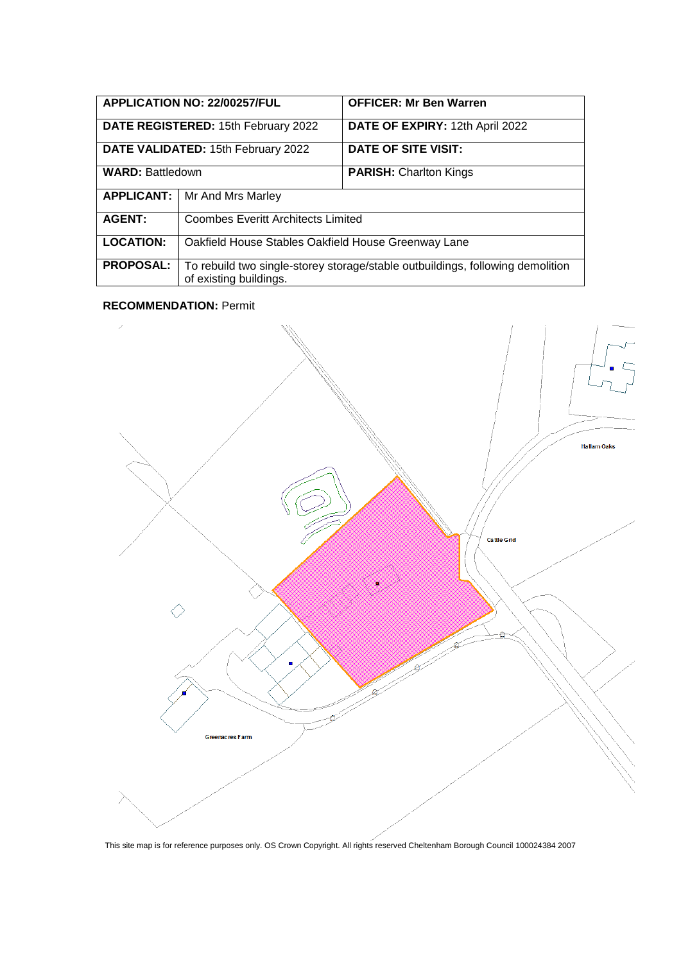| <b>APPLICATION NO: 22/00257/FUL</b> |                                                                                                          | <b>OFFICER: Mr Ben Warren</b>   |
|-------------------------------------|----------------------------------------------------------------------------------------------------------|---------------------------------|
| DATE REGISTERED: 15th February 2022 |                                                                                                          | DATE OF EXPIRY: 12th April 2022 |
| DATE VALIDATED: 15th February 2022  |                                                                                                          | DATE OF SITE VISIT:             |
| <b>WARD: Battledown</b>             |                                                                                                          | <b>PARISH: Charlton Kings</b>   |
| <b>APPLICANT:</b>                   | Mr And Mrs Marley                                                                                        |                                 |
| <b>AGENT:</b>                       | <b>Coombes Everitt Architects Limited</b>                                                                |                                 |
| <b>LOCATION:</b>                    | Oakfield House Stables Oakfield House Greenway Lane                                                      |                                 |
| <b>PROPOSAL:</b>                    | To rebuild two single-storey storage/stable outbuildings, following demolition<br>of existing buildings. |                                 |

### **RECOMMENDATION:** Permit



This site map is for reference purposes only. OS Crown Copyright. All rights reserved Cheltenham Borough Council 100024384 2007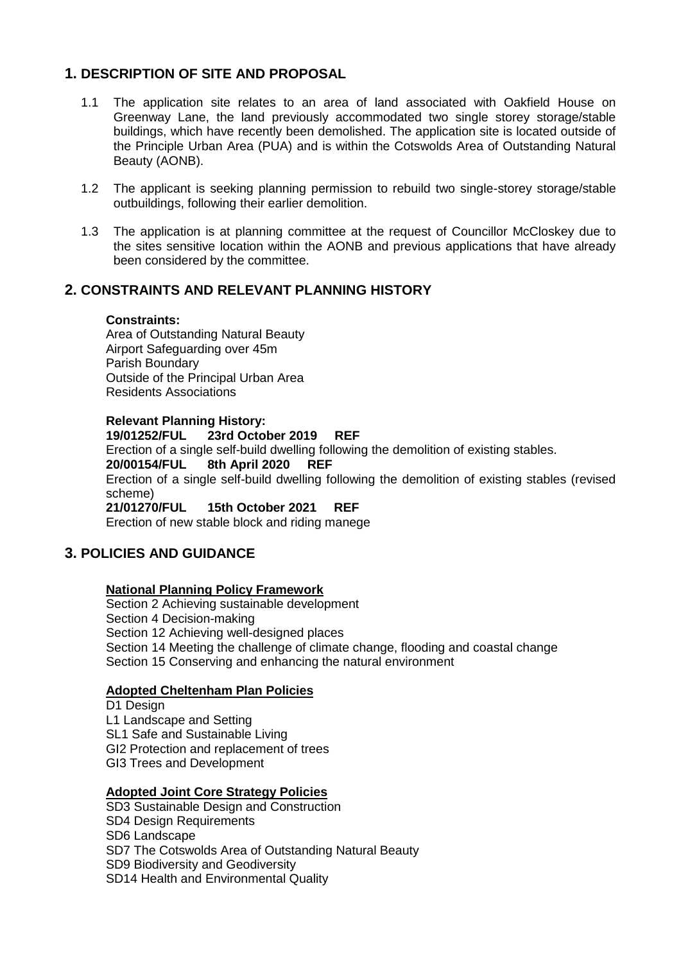# **1. DESCRIPTION OF SITE AND PROPOSAL**

- 1.1 The application site relates to an area of land associated with Oakfield House on Greenway Lane, the land previously accommodated two single storey storage/stable buildings, which have recently been demolished. The application site is located outside of the Principle Urban Area (PUA) and is within the Cotswolds Area of Outstanding Natural Beauty (AONB).
- 1.2 The applicant is seeking planning permission to rebuild two single-storey storage/stable outbuildings, following their earlier demolition.
- 1.3 The application is at planning committee at the request of Councillor McCloskey due to the sites sensitive location within the AONB and previous applications that have already been considered by the committee.

## **2. CONSTRAINTS AND RELEVANT PLANNING HISTORY**

## **Constraints:**

Area of Outstanding Natural Beauty Airport Safeguarding over 45m Parish Boundary Outside of the Principal Urban Area Residents Associations

**Relevant Planning History:**

### **19/01252/FUL 23rd October 2019 REF**

Erection of a single self-build dwelling following the demolition of existing stables.

### **20/00154/FUL 8th April 2020 REF**

Erection of a single self-build dwelling following the demolition of existing stables (revised scheme)<br>**21/01270/FUL** 

**215th October 2021 REF** 

Erection of new stable block and riding manege

## **3. POLICIES AND GUIDANCE**

## **National Planning Policy Framework**

Section 2 Achieving sustainable development Section 4 Decision-making Section 12 Achieving well-designed places Section 14 Meeting the challenge of climate change, flooding and coastal change Section 15 Conserving and enhancing the natural environment

## **Adopted Cheltenham Plan Policies**

D1 Design L1 Landscape and Setting SL1 Safe and Sustainable Living GI2 Protection and replacement of trees GI3 Trees and Development

#### **Adopted Joint Core Strategy Policies**

SD3 Sustainable Design and Construction

- SD4 Design Requirements
- SD6 Landscape
- SD7 The Cotswolds Area of Outstanding Natural Beauty

SD9 Biodiversity and Geodiversity

SD14 Health and Environmental Quality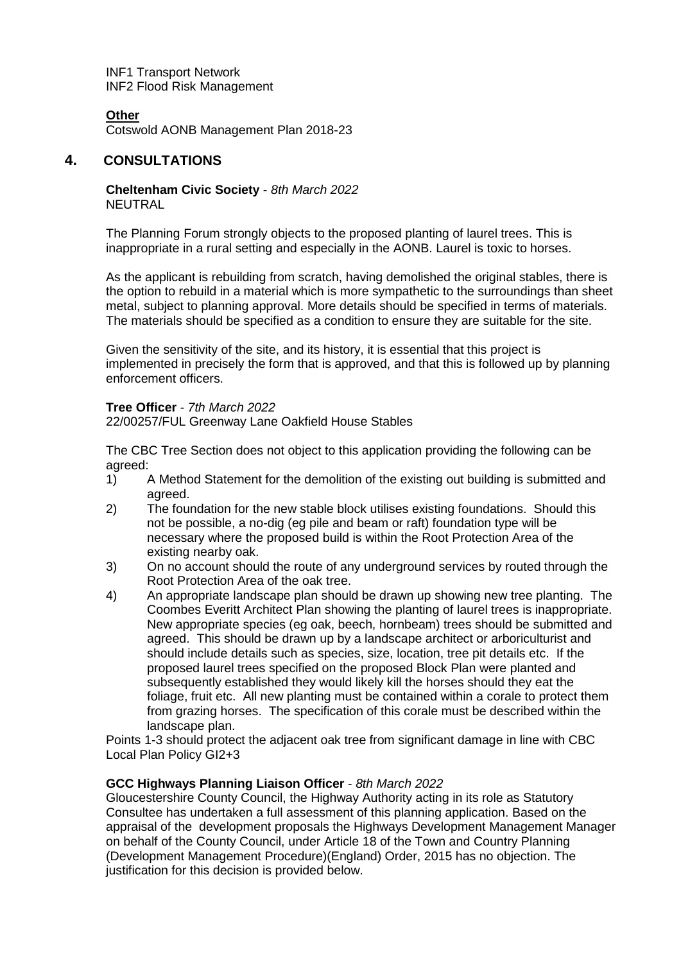INF1 Transport Network INF2 Flood Risk Management

## **Other**

Cotswold AONB Management Plan 2018-23

## **4. CONSULTATIONS**

**Cheltenham Civic Society** - *8th March 2022* NEUTRAL

The Planning Forum strongly objects to the proposed planting of laurel trees. This is inappropriate in a rural setting and especially in the AONB. Laurel is toxic to horses.

As the applicant is rebuilding from scratch, having demolished the original stables, there is the option to rebuild in a material which is more sympathetic to the surroundings than sheet metal, subject to planning approval. More details should be specified in terms of materials. The materials should be specified as a condition to ensure they are suitable for the site.

Given the sensitivity of the site, and its history, it is essential that this project is implemented in precisely the form that is approved, and that this is followed up by planning enforcement officers.

### **Tree Officer** - *7th March 2022*

22/00257/FUL Greenway Lane Oakfield House Stables

The CBC Tree Section does not object to this application providing the following can be agreed:

- 1) A Method Statement for the demolition of the existing out building is submitted and agreed.
- 2) The foundation for the new stable block utilises existing foundations. Should this not be possible, a no-dig (eg pile and beam or raft) foundation type will be necessary where the proposed build is within the Root Protection Area of the existing nearby oak.
- 3) On no account should the route of any underground services by routed through the Root Protection Area of the oak tree.
- 4) An appropriate landscape plan should be drawn up showing new tree planting. The Coombes Everitt Architect Plan showing the planting of laurel trees is inappropriate. New appropriate species (eg oak, beech, hornbeam) trees should be submitted and agreed. This should be drawn up by a landscape architect or arboriculturist and should include details such as species, size, location, tree pit details etc. If the proposed laurel trees specified on the proposed Block Plan were planted and subsequently established they would likely kill the horses should they eat the foliage, fruit etc. All new planting must be contained within a corale to protect them from grazing horses. The specification of this corale must be described within the landscape plan.

Points 1-3 should protect the adjacent oak tree from significant damage in line with CBC Local Plan Policy GI2+3

## **GCC Highways Planning Liaison Officer** - *8th March 2022*

Gloucestershire County Council, the Highway Authority acting in its role as Statutory Consultee has undertaken a full assessment of this planning application. Based on the appraisal of the development proposals the Highways Development Management Manager on behalf of the County Council, under Article 18 of the Town and Country Planning (Development Management Procedure)(England) Order, 2015 has no objection. The justification for this decision is provided below.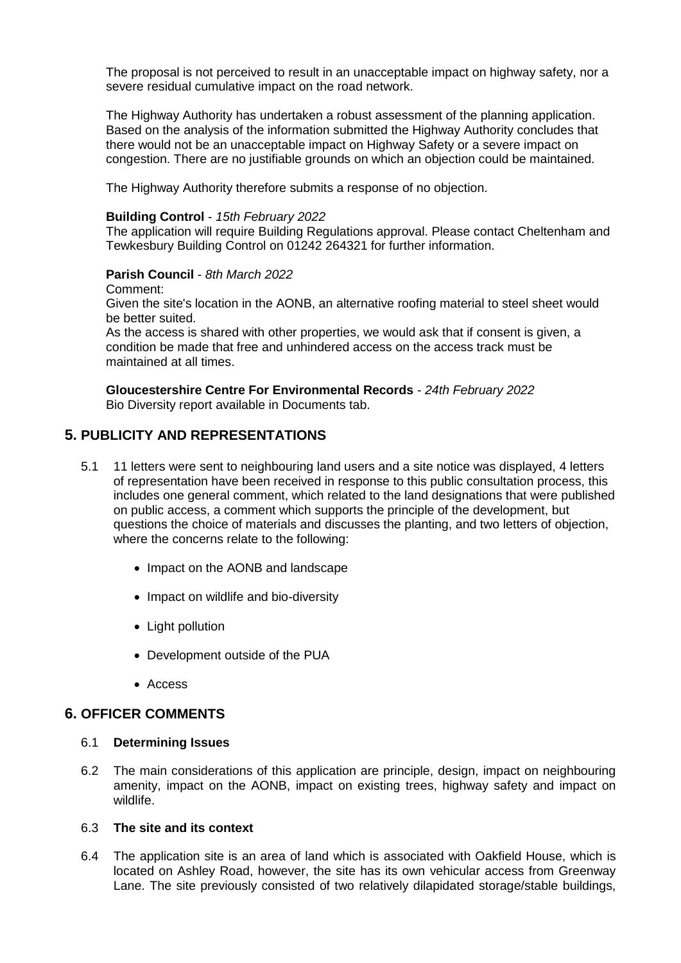The proposal is not perceived to result in an unacceptable impact on highway safety, nor a severe residual cumulative impact on the road network.

The Highway Authority has undertaken a robust assessment of the planning application. Based on the analysis of the information submitted the Highway Authority concludes that there would not be an unacceptable impact on Highway Safety or a severe impact on congestion. There are no justifiable grounds on which an objection could be maintained.

The Highway Authority therefore submits a response of no objection.

#### **Building Control** - *15th February 2022*

The application will require Building Regulations approval. Please contact Cheltenham and Tewkesbury Building Control on 01242 264321 for further information.

### **Parish Council** - *8th March 2022*

Comment:

Given the site's location in the AONB, an alternative roofing material to steel sheet would be better suited.

As the access is shared with other properties, we would ask that if consent is given, a condition be made that free and unhindered access on the access track must be maintained at all times.

**Gloucestershire Centre For Environmental Records** - *24th February 2022* Bio Diversity report available in Documents tab.

## **5. PUBLICITY AND REPRESENTATIONS**

- 5.1 11 letters were sent to neighbouring land users and a site notice was displayed, 4 letters of representation have been received in response to this public consultation process, this includes one general comment, which related to the land designations that were published on public access, a comment which supports the principle of the development, but questions the choice of materials and discusses the planting, and two letters of objection, where the concerns relate to the following:
	- Impact on the AONB and landscape
	- Impact on wildlife and bio-diversity
	- Light pollution
	- Development outside of the PUA
	- Access

## **6. OFFICER COMMENTS**

#### 6.1 **Determining Issues**

6.2 The main considerations of this application are principle, design, impact on neighbouring amenity, impact on the AONB, impact on existing trees, highway safety and impact on wildlife.

### 6.3 **The site and its context**

6.4 The application site is an area of land which is associated with Oakfield House, which is located on Ashley Road, however, the site has its own vehicular access from Greenway Lane. The site previously consisted of two relatively dilapidated storage/stable buildings,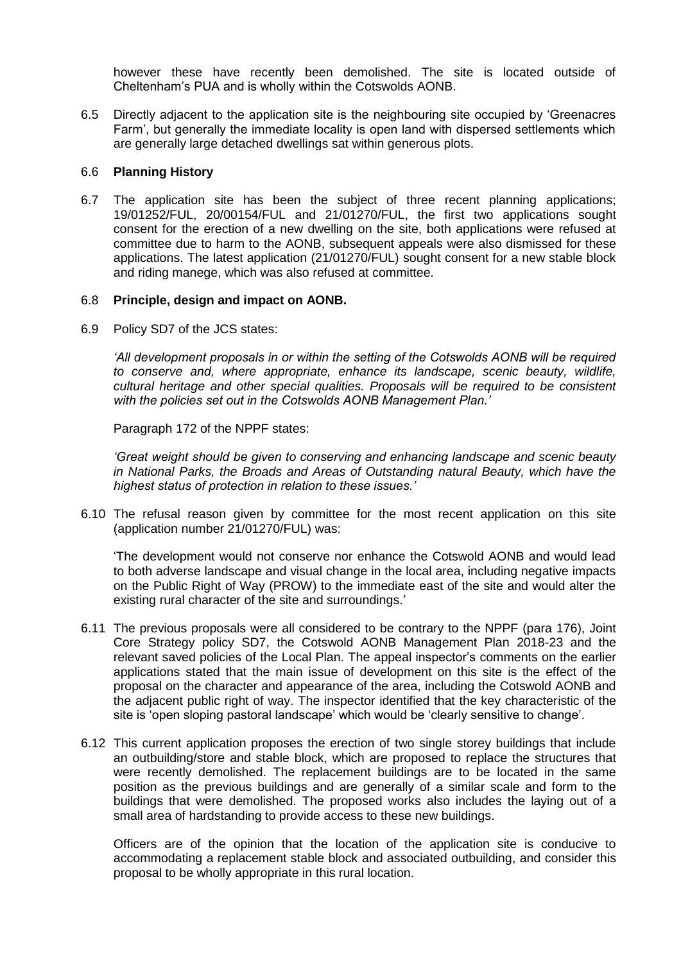however these have recently been demolished. The site is located outside of Cheltenham's PUA and is wholly within the Cotswolds AONB.

6.5 Directly adjacent to the application site is the neighbouring site occupied by 'Greenacres Farm', but generally the immediate locality is open land with dispersed settlements which are generally large detached dwellings sat within generous plots.

### 6.6 **Planning History**

6.7 The application site has been the subject of three recent planning applications; 19/01252/FUL, 20/00154/FUL and 21/01270/FUL, the first two applications sought consent for the erection of a new dwelling on the site, both applications were refused at committee due to harm to the AONB, subsequent appeals were also dismissed for these applications. The latest application (21/01270/FUL) sought consent for a new stable block and riding manege, which was also refused at committee.

### 6.8 **Principle, design and impact on AONB.**

6.9 Policy SD7 of the JCS states:

*'All development proposals in or within the setting of the Cotswolds AONB will be required to conserve and, where appropriate, enhance its landscape, scenic beauty, wildlife, cultural heritage and other special qualities. Proposals will be required to be consistent with the policies set out in the Cotswolds AONB Management Plan.'*

Paragraph 172 of the NPPF states:

*'Great weight should be given to conserving and enhancing landscape and scenic beauty in National Parks, the Broads and Areas of Outstanding natural Beauty, which have the highest status of protection in relation to these issues.'*

6.10 The refusal reason given by committee for the most recent application on this site (application number 21/01270/FUL) was:

'The development would not conserve nor enhance the Cotswold AONB and would lead to both adverse landscape and visual change in the local area, including negative impacts on the Public Right of Way (PROW) to the immediate east of the site and would alter the existing rural character of the site and surroundings.'

- 6.11 The previous proposals were all considered to be contrary to the NPPF (para 176), Joint Core Strategy policy SD7, the Cotswold AONB Management Plan 2018-23 and the relevant saved policies of the Local Plan. The appeal inspector's comments on the earlier applications stated that the main issue of development on this site is the effect of the proposal on the character and appearance of the area, including the Cotswold AONB and the adjacent public right of way. The inspector identified that the key characteristic of the site is 'open sloping pastoral landscape' which would be 'clearly sensitive to change'.
- 6.12 This current application proposes the erection of two single storey buildings that include an outbuilding/store and stable block, which are proposed to replace the structures that were recently demolished. The replacement buildings are to be located in the same position as the previous buildings and are generally of a similar scale and form to the buildings that were demolished. The proposed works also includes the laying out of a small area of hardstanding to provide access to these new buildings.

Officers are of the opinion that the location of the application site is conducive to accommodating a replacement stable block and associated outbuilding, and consider this proposal to be wholly appropriate in this rural location.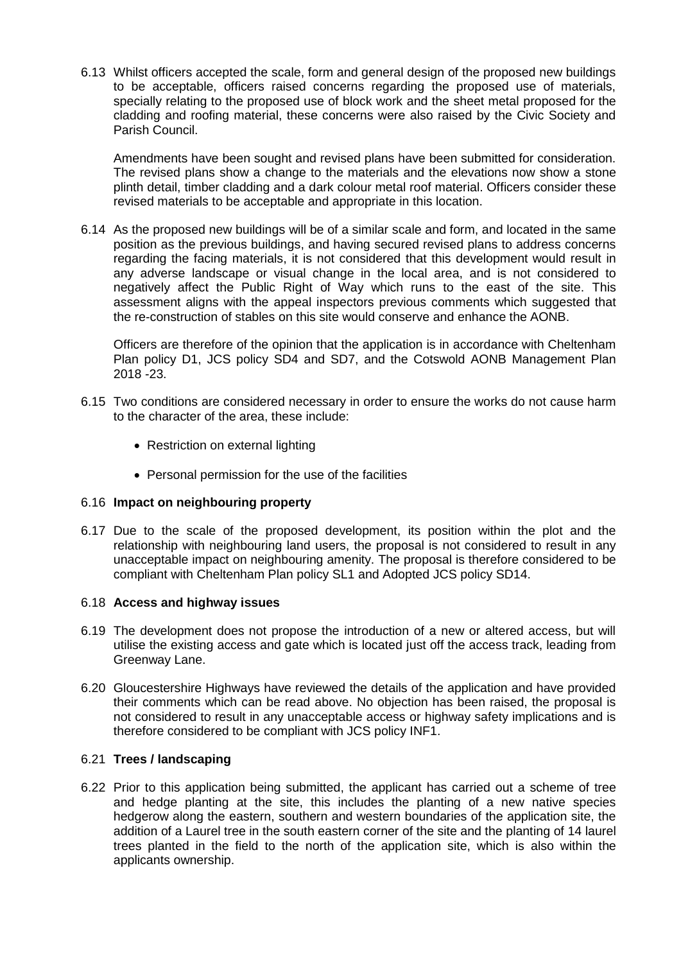6.13 Whilst officers accepted the scale, form and general design of the proposed new buildings to be acceptable, officers raised concerns regarding the proposed use of materials, specially relating to the proposed use of block work and the sheet metal proposed for the cladding and roofing material, these concerns were also raised by the Civic Society and Parish Council.

Amendments have been sought and revised plans have been submitted for consideration. The revised plans show a change to the materials and the elevations now show a stone plinth detail, timber cladding and a dark colour metal roof material. Officers consider these revised materials to be acceptable and appropriate in this location.

6.14 As the proposed new buildings will be of a similar scale and form, and located in the same position as the previous buildings, and having secured revised plans to address concerns regarding the facing materials, it is not considered that this development would result in any adverse landscape or visual change in the local area, and is not considered to negatively affect the Public Right of Way which runs to the east of the site. This assessment aligns with the appeal inspectors previous comments which suggested that the re-construction of stables on this site would conserve and enhance the AONB.

Officers are therefore of the opinion that the application is in accordance with Cheltenham Plan policy D1, JCS policy SD4 and SD7, and the Cotswold AONB Management Plan 2018 -23.

- 6.15 Two conditions are considered necessary in order to ensure the works do not cause harm to the character of the area, these include:
	- Restriction on external lighting
	- Personal permission for the use of the facilities

## 6.16 **Impact on neighbouring property**

6.17 Due to the scale of the proposed development, its position within the plot and the relationship with neighbouring land users, the proposal is not considered to result in any unacceptable impact on neighbouring amenity. The proposal is therefore considered to be compliant with Cheltenham Plan policy SL1 and Adopted JCS policy SD14.

#### 6.18 **Access and highway issues**

- 6.19 The development does not propose the introduction of a new or altered access, but will utilise the existing access and gate which is located just off the access track, leading from Greenway Lane.
- 6.20 Gloucestershire Highways have reviewed the details of the application and have provided their comments which can be read above. No objection has been raised, the proposal is not considered to result in any unacceptable access or highway safety implications and is therefore considered to be compliant with JCS policy INF1.

### 6.21 **Trees / landscaping**

6.22 Prior to this application being submitted, the applicant has carried out a scheme of tree and hedge planting at the site, this includes the planting of a new native species hedgerow along the eastern, southern and western boundaries of the application site, the addition of a Laurel tree in the south eastern corner of the site and the planting of 14 laurel trees planted in the field to the north of the application site, which is also within the applicants ownership.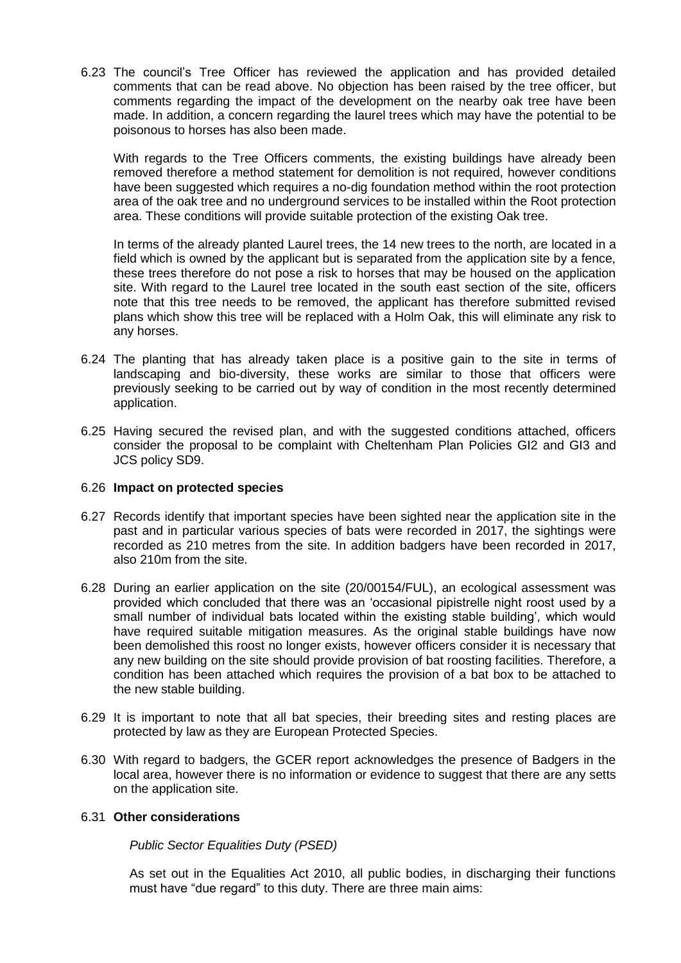6.23 The council's Tree Officer has reviewed the application and has provided detailed comments that can be read above. No objection has been raised by the tree officer, but comments regarding the impact of the development on the nearby oak tree have been made. In addition, a concern regarding the laurel trees which may have the potential to be poisonous to horses has also been made.

With regards to the Tree Officers comments, the existing buildings have already been removed therefore a method statement for demolition is not required, however conditions have been suggested which requires a no-dig foundation method within the root protection area of the oak tree and no underground services to be installed within the Root protection area. These conditions will provide suitable protection of the existing Oak tree.

In terms of the already planted Laurel trees, the 14 new trees to the north, are located in a field which is owned by the applicant but is separated from the application site by a fence, these trees therefore do not pose a risk to horses that may be housed on the application site. With regard to the Laurel tree located in the south east section of the site, officers note that this tree needs to be removed, the applicant has therefore submitted revised plans which show this tree will be replaced with a Holm Oak, this will eliminate any risk to any horses.

- 6.24 The planting that has already taken place is a positive gain to the site in terms of landscaping and bio-diversity, these works are similar to those that officers were previously seeking to be carried out by way of condition in the most recently determined application.
- 6.25 Having secured the revised plan, and with the suggested conditions attached, officers consider the proposal to be complaint with Cheltenham Plan Policies GI2 and GI3 and JCS policy SD9.

#### 6.26 **Impact on protected species**

- 6.27 Records identify that important species have been sighted near the application site in the past and in particular various species of bats were recorded in 2017, the sightings were recorded as 210 metres from the site. In addition badgers have been recorded in 2017, also 210m from the site.
- 6.28 During an earlier application on the site (20/00154/FUL), an ecological assessment was provided which concluded that there was an 'occasional pipistrelle night roost used by a small number of individual bats located within the existing stable building', which would have required suitable mitigation measures. As the original stable buildings have now been demolished this roost no longer exists, however officers consider it is necessary that any new building on the site should provide provision of bat roosting facilities. Therefore, a condition has been attached which requires the provision of a bat box to be attached to the new stable building.
- 6.29 It is important to note that all bat species, their breeding sites and resting places are protected by law as they are European Protected Species.
- 6.30 With regard to badgers, the GCER report acknowledges the presence of Badgers in the local area, however there is no information or evidence to suggest that there are any setts on the application site.

## 6.31 **Other considerations**

*Public Sector Equalities Duty (PSED)*

As set out in the Equalities Act 2010, all public bodies, in discharging their functions must have "due regard" to this duty. There are three main aims: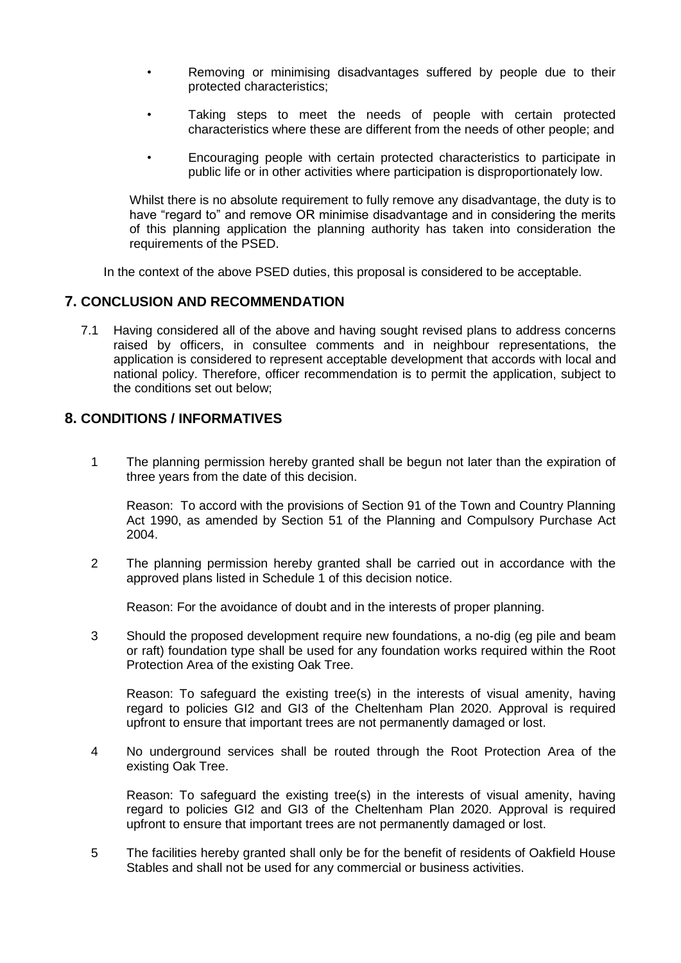- Removing or minimising disadvantages suffered by people due to their protected characteristics;
- Taking steps to meet the needs of people with certain protected characteristics where these are different from the needs of other people; and
- Encouraging people with certain protected characteristics to participate in public life or in other activities where participation is disproportionately low.

Whilst there is no absolute requirement to fully remove any disadvantage, the duty is to have "regard to" and remove OR minimise disadvantage and in considering the merits of this planning application the planning authority has taken into consideration the requirements of the PSED.

In the context of the above PSED duties, this proposal is considered to be acceptable.

## **7. CONCLUSION AND RECOMMENDATION**

7.1 Having considered all of the above and having sought revised plans to address concerns raised by officers, in consultee comments and in neighbour representations, the application is considered to represent acceptable development that accords with local and national policy. Therefore, officer recommendation is to permit the application, subject to the conditions set out below;

## **8. CONDITIONS / INFORMATIVES**

1 The planning permission hereby granted shall be begun not later than the expiration of three years from the date of this decision.

Reason: To accord with the provisions of Section 91 of the Town and Country Planning Act 1990, as amended by Section 51 of the Planning and Compulsory Purchase Act 2004.

2 The planning permission hereby granted shall be carried out in accordance with the approved plans listed in Schedule 1 of this decision notice.

Reason: For the avoidance of doubt and in the interests of proper planning.

3 Should the proposed development require new foundations, a no-dig (eg pile and beam or raft) foundation type shall be used for any foundation works required within the Root Protection Area of the existing Oak Tree.

Reason: To safeguard the existing tree(s) in the interests of visual amenity, having regard to policies GI2 and GI3 of the Cheltenham Plan 2020. Approval is required upfront to ensure that important trees are not permanently damaged or lost.

4 No underground services shall be routed through the Root Protection Area of the existing Oak Tree.

Reason: To safeguard the existing tree(s) in the interests of visual amenity, having regard to policies GI2 and GI3 of the Cheltenham Plan 2020. Approval is required upfront to ensure that important trees are not permanently damaged or lost.

5 The facilities hereby granted shall only be for the benefit of residents of Oakfield House Stables and shall not be used for any commercial or business activities.